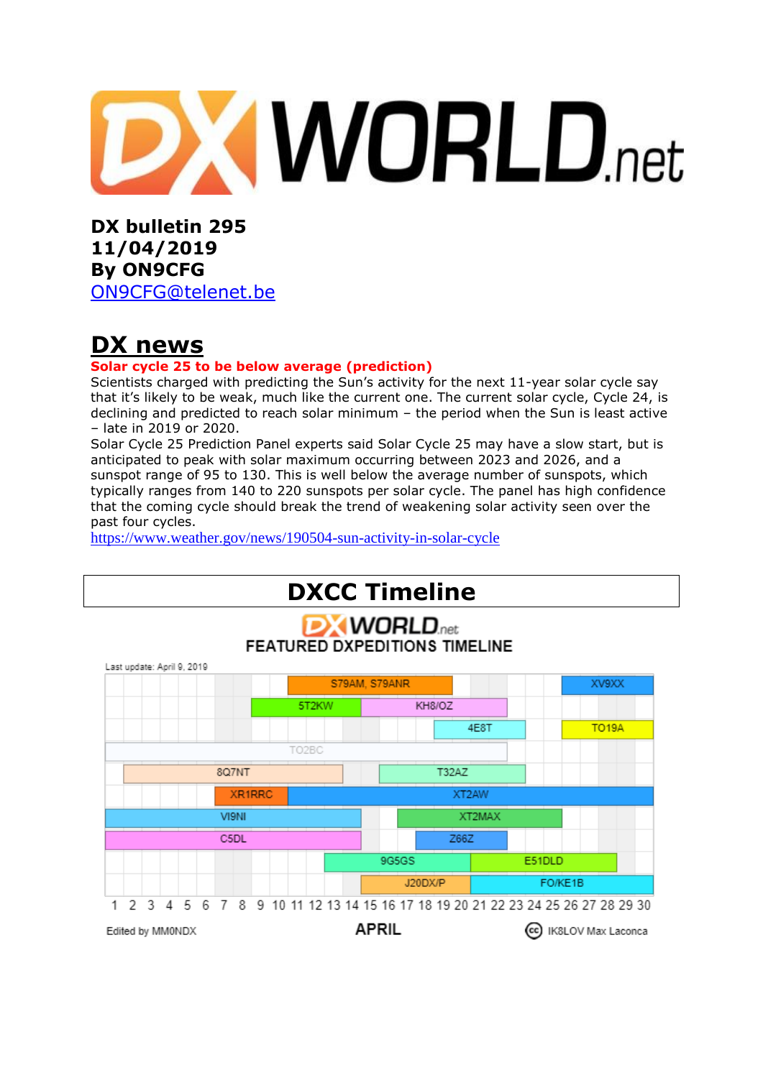# **XWORLD.net**

**DX bulletin 295 11/04/2019 By ON9CFG** 

[ON9CFG@telenet.be](mailto:ON9CFG@telenet.be)

# **DX news**

### **Solar cycle 25 to be below average (prediction)**

Scientists charged with predicting the Sun's activity for the next 11-year solar cycle say that it's likely to be weak, much like the current one. The current solar cycle, Cycle 24, is declining and predicted to reach solar minimum – the period when the Sun is least active – late in 2019 or 2020.

Solar Cycle 25 Prediction Panel experts said Solar Cycle 25 may have a slow start, but is anticipated to peak with solar maximum occurring between 2023 and 2026, and a sunspot range of 95 to 130. This is well below the average number of sunspots, which typically ranges from 140 to 220 sunspots per solar cycle. The panel has high confidence that the coming cycle should break the trend of weakening solar activity seen over the past four cycles.

<https://www.weather.gov/news/190504-sun-activity-in-solar-cycle>

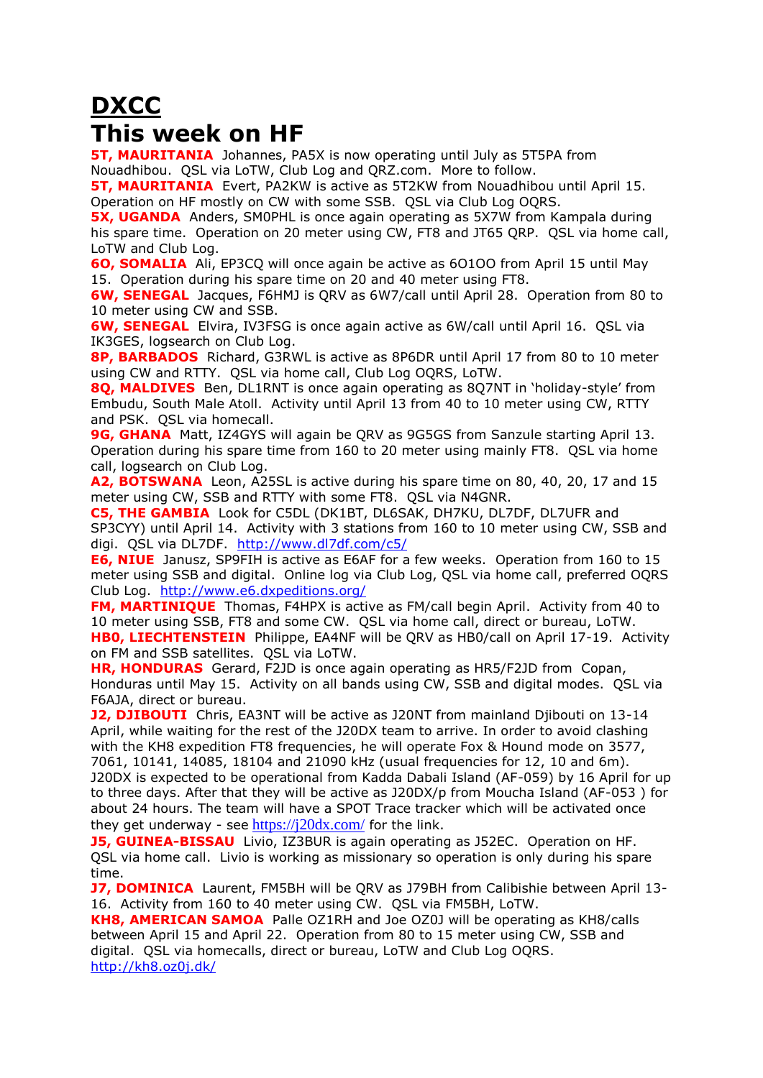# **DXCC This week on HF**

**5T. MAURITANIA** Johannes, PA5X is now operating until July as 5T5PA from Nouadhibou. QSL via LoTW, Club Log and QRZ.com. More to follow.

**5T, MAURITANIA** Evert, PA2KW is active as 5T2KW from Nouadhibou until April 15. Operation on HF mostly on CW with some SSB. QSL via Club Log OQRS.

**5X, UGANDA** Anders, SMOPHL is once again operating as 5X7W from Kampala during his spare time. Operation on 20 meter using CW, FT8 and JT65 QRP. QSL via home call, LoTW and Club Log.

**6O, SOMALIA** Ali, EP3CQ will once again be active as 6O1OO from April 15 until May 15. Operation during his spare time on 20 and 40 meter using FT8.

**6W, SENEGAL** Jacques, F6HMJ is QRV as 6W7/call until April 28. Operation from 80 to 10 meter using CW and SSB.

**6W, SENEGAL** Elvira, IV3FSG is once again active as 6W/call until April 16. QSL via IK3GES, logsearch on Club Log.

**8P, BARBADOS** Richard, G3RWL is active as 8P6DR until April 17 from 80 to 10 meter using CW and RTTY. QSL via home call, Club Log OQRS, LoTW.

**8Q, MALDIVES** Ben, DL1RNT is once again operating as 8Q7NT in 'holiday-style' from Embudu, South Male Atoll. Activity until April 13 from 40 to 10 meter using CW, RTTY and PSK. QSL via homecall.

**9G, GHANA** Matt, IZ4GYS will again be QRV as 9G5GS from Sanzule starting April 13. Operation during his spare time from 160 to 20 meter using mainly FT8. QSL via home call, logsearch on Club Log.

**A2, BOTSWANA** Leon, A25SL is active during his spare time on 80, 40, 20, 17 and 15 meter using CW, SSB and RTTY with some FT8. QSL via N4GNR.

**C5, THE GAMBIA** Look for C5DL (DK1BT, DL6SAK, DH7KU, DL7DF, DL7UFR and SP3CYY) until April 14. Activity with 3 stations from 160 to 10 meter using CW, SSB and digi. QSL via DL7DF. <http://www.dl7df.com/c5/>

**E6, NIUE** Janusz, SP9FIH is active as E6AF for a few weeks. Operation from 160 to 15 meter using SSB and digital. Online log via Club Log, QSL via home call, preferred OQRS Club Log. <http://www.e6.dxpeditions.org/>

**FM, MARTINIQUE** Thomas, F4HPX is active as FM/call begin April. Activity from 40 to 10 meter using SSB, FT8 and some CW. QSL via home call, direct or bureau, LoTW. **HB0, LIECHTENSTEIN** Philippe, EA4NF will be QRV as HB0/call on April 17-19. Activity on FM and SSB satellites. QSL via LoTW.

**HR, HONDURAS** Gerard, F2JD is once again operating as HR5/F2JD from Copan, Honduras until May 15. Activity on all bands using CW, SSB and digital modes. QSL via F6AJA, direct or bureau.

**J2, DJIBOUTI** Chris, EA3NT will be active as J20NT from mainland Djibouti on 13-14 April, while waiting for the rest of the J20DX team to arrive. In order to avoid clashing with the KH8 expedition FT8 frequencies, he will operate Fox & Hound mode on 3577, 7061, 10141, 14085, 18104 and 21090 kHz (usual frequencies for 12, 10 and 6m). J20DX is expected to be operational from Kadda Dabali Island (AF-059) by 16 April for up to three days. After that they will be active as J20DX/p from Moucha Island (AF-053 ) for about 24 hours. The team will have a SPOT Trace tracker which will be activated once they get underway - see  $\frac{https://j20dx.com/}$  $\frac{https://j20dx.com/}$  $\frac{https://j20dx.com/}$  for the link.

**J5, GUINEA-BISSAU** Livio, IZ3BUR is again operating as J52EC. Operation on HF. QSL via home call. Livio is working as missionary so operation is only during his spare time.

**J7, DOMINICA** Laurent, FM5BH will be QRV as J79BH from Calibishie between April 13-16. Activity from 160 to 40 meter using CW. QSL via FM5BH, LoTW.

**KH8, AMERICAN SAMOA** Palle OZ1RH and Joe OZ0J will be operating as KH8/calls between April 15 and April 22. Operation from 80 to 15 meter using CW, SSB and digital. QSL via homecalls, direct or bureau, LoTW and Club Log OQRS. <http://kh8.oz0j.dk/>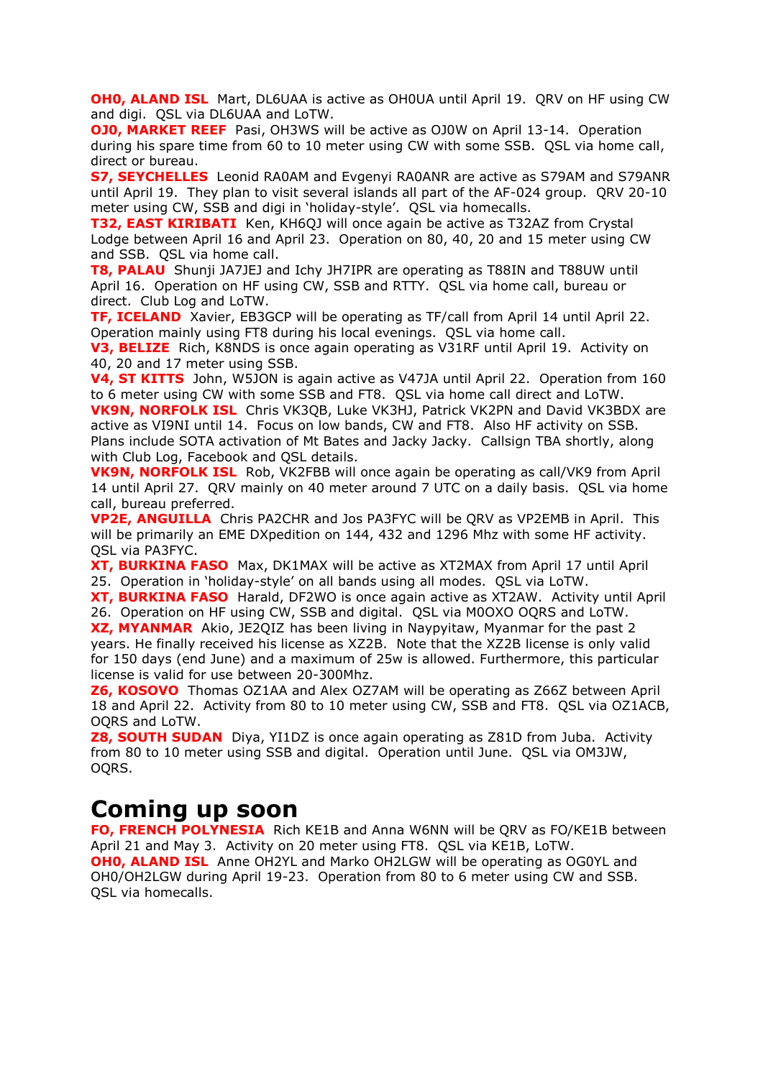**OH0, ALAND ISL** Mart, DL6UAA is active as OH0UA until April 19. QRV on HF using CW and digi. QSL via DL6UAA and LoTW.

**OJ0, MARKET REEF** Pasi, OH3WS will be active as OJ0W on April 13-14. Operation during his spare time from 60 to 10 meter using CW with some SSB. QSL via home call, direct or bureau.

**S7, SEYCHELLES** Leonid RA0AM and Evgenyi RA0ANR are active as S79AM and S79ANR until April 19. They plan to visit several islands all part of the AF-024 group. QRV 20-10 meter using CW, SSB and digi in 'holiday-style'. QSL via homecalls.

**T32, EAST KIRIBATI** Ken, KH6QJ will once again be active as T32AZ from Crystal Lodge between April 16 and April 23. Operation on 80, 40, 20 and 15 meter using CW and SSB. QSL via home call.

**T8, PALAU** Shunji JA7JEJ and Ichy JH7IPR are operating as T88IN and T88UW until April 16. Operation on HF using CW, SSB and RTTY. QSL via home call, bureau or direct. Club Log and LoTW.

**TF, ICELAND** Xavier, EB3GCP will be operating as TF/call from April 14 until April 22. Operation mainly using FT8 during his local evenings. QSL via home call.

**V3, BELIZE** Rich, K8NDS is once again operating as V31RF until April 19. Activity on 40, 20 and 17 meter using SSB.

**V4, ST KITTS** John, W5JON is again active as V47JA until April 22. Operation from 160 to 6 meter using CW with some SSB and FT8. QSL via home call direct and LoTW.

**VK9N, NORFOLK ISL** Chris VK3QB, Luke VK3HJ, Patrick VK2PN and David VK3BDX are active as VI9NI until 14. Focus on low bands, CW and FT8. Also HF activity on SSB. Plans include SOTA activation of [Mt Bates](https://en.wikipedia.org/wiki/Mount_Bates) and Jacky Jacky. Callsign TBA shortly, along with Club Log, Facebook and OSL details.

**VK9N, NORFOLK ISL** Rob, VK2FBB will once again be operating as call/VK9 from April 14 until April 27. QRV mainly on 40 meter around 7 UTC on a daily basis. QSL via home call, bureau preferred.

**VP2E, ANGUILLA** Chris PA2CHR and Jos PA3FYC will be QRV as VP2EMB in April. This will be primarily an EME DXpedition on 144, 432 and 1296 Mhz with some HF activity. QSL via PA3FYC.

**XT, BURKINA FASO** Max, DK1MAX will be active as XT2MAX from April 17 until April 25. Operation in 'holiday-style' on all bands using all modes. QSL via LoTW.

**XT, BURKINA FASO** Harald, DF2WO is once again active as XT2AW. Activity until April 26. Operation on HF using CW, SSB and digital. QSL via M0OXO OQRS and LoTW.

**XZ, MYANMAR** Akio, JE2QIZ has been living in Naypyitaw, Myanmar for the past 2 years. He finally received his license as XZ2B. Note that the XZ2B license is only valid for 150 days (end June) and a maximum of 25w is allowed. Furthermore, this particular license is valid for use between 20-300Mhz.

**Z6, KOSOVO** Thomas OZ1AA and Alex OZ7AM will be operating as Z66Z between April 18 and April 22. Activity from 80 to 10 meter using CW, SSB and FT8. QSL via OZ1ACB, OQRS and LoTW.

**Z8, SOUTH SUDAN** Diya, YI1DZ is once again operating as Z81D from Juba. Activity from 80 to 10 meter using SSB and digital. Operation until June. QSL via OM3JW, OQRS.

## **Coming up soon**

**FO, FRENCH POLYNESIA** Rich KE1B and Anna W6NN will be QRV as FO/KE1B between April 21 and May 3. Activity on 20 meter using FT8. QSL via KE1B, LoTW. **OH0, ALAND ISL** Anne OH2YL and Marko OH2LGW will be operating as OG0YL and OH0/OH2LGW during April 19-23. Operation from 80 to 6 meter using CW and SSB. QSL via homecalls.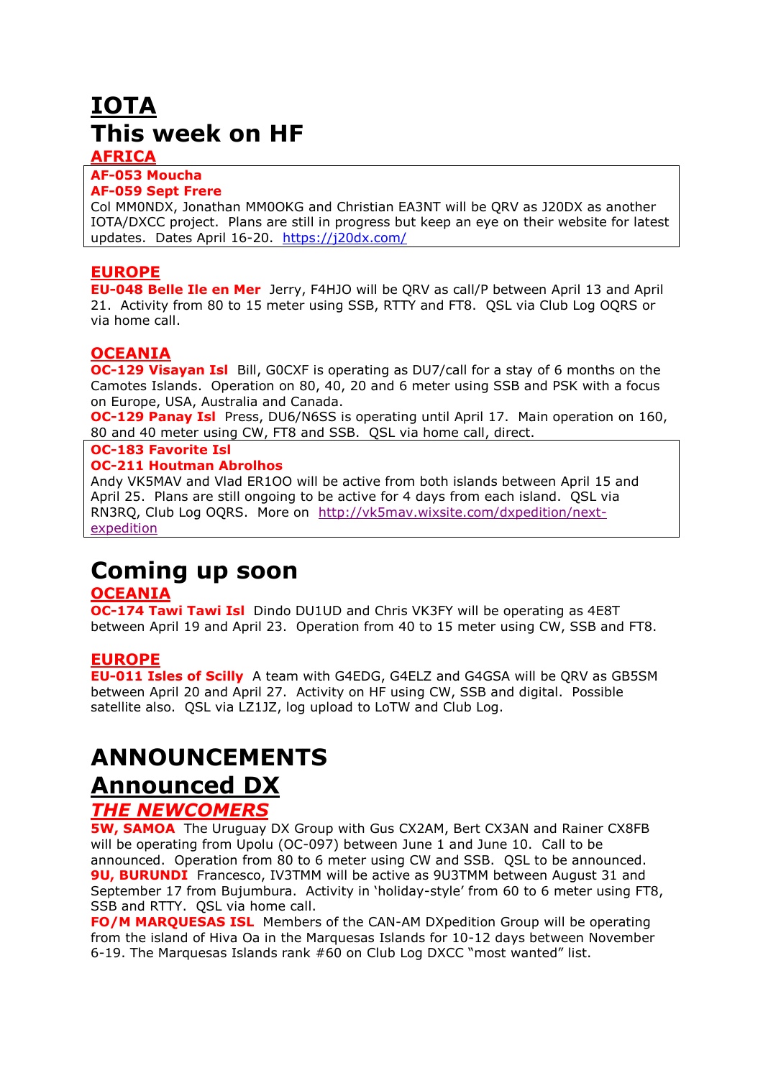# **IOTA This week on HF**

## **AFRICA**

#### **AF-053 Moucha AF-059 Sept Frere**

Col MM0NDX, Jonathan MM0OKG and Christian EA3NT will be QRV as J20DX as another IOTA/DXCC project. Plans are still in progress but keep an eye on their website for latest updates. Dates April 16-20. <https://j20dx.com/>

## **EUROPE**

**EU-048 Belle Ile en Mer** Jerry, F4HJO will be QRV as call/P between April 13 and April 21. Activity from 80 to 15 meter using SSB, RTTY and FT8. QSL via Club Log OQRS or via home call.

## **OCEANIA**

**OC-129 Visayan Isl** Bill, GOCXF is operating as DU7/call for a stay of 6 months on the Camotes Islands. Operation on 80, 40, 20 and 6 meter using SSB and PSK with a focus on Europe, USA, Australia and Canada.

**OC-129 Panay Isl** Press, DU6/N6SS is operating until April 17. Main operation on 160, 80 and 40 meter using CW, FT8 and SSB. QSL via home call, direct.

## **OC-183 Favorite Isl**

#### **OC-211 Houtman Abrolhos**

Andy VK5MAV and Vlad ER1OO will be active from both islands between April 15 and April 25. Plans are still ongoing to be active for 4 days from each island. QSL via RN3RQ, Club Log OQRS. More on [http://vk5mav.wixsite.com/dxpedition/next](http://vk5mav.wixsite.com/dxpedition/next-expedition)[expedition](http://vk5mav.wixsite.com/dxpedition/next-expedition)

## **Coming up soon**

## **OCEANIA**

**OC-174 Tawi Tawi Isl** Dindo DU1UD and Chris VK3FY will be operating as 4E8T between April 19 and April 23. Operation from 40 to 15 meter using CW, SSB and FT8.

## **EUROPE**

**EU-011 Isles of Scilly** A team with G4EDG, G4ELZ and G4GSA will be QRV as GB5SM between April 20 and April 27. Activity on HF using CW, SSB and digital. Possible satellite also. QSL via LZ1JZ, log upload to LoTW and Club Log.

# **ANNOUNCEMENTS Announced DX**

## *THE NEWCOMERS*

**5W, SAMOA** The Uruguay DX Group with Gus CX2AM, Bert CX3AN and Rainer CX8FB will be operating from Upolu (OC-097) between June 1 and June 10. Call to be announced. Operation from 80 to 6 meter using CW and SSB. QSL to be announced. **9U, BURUNDI** Francesco, IV3TMM will be active as 9U3TMM between August 31 and September 17 from Bujumbura. Activity in 'holiday-style' from 60 to 6 meter using FT8, SSB and RTTY. OSL via home call.

**FO/M MARQUESAS ISL** Members of the CAN-AM DXpedition Group will be operating from the island of Hiva Oa in the Marquesas Islands for 10-12 days between November 6-19. The Marquesas Islands rank #60 on Club Log DXCC "most wanted" list.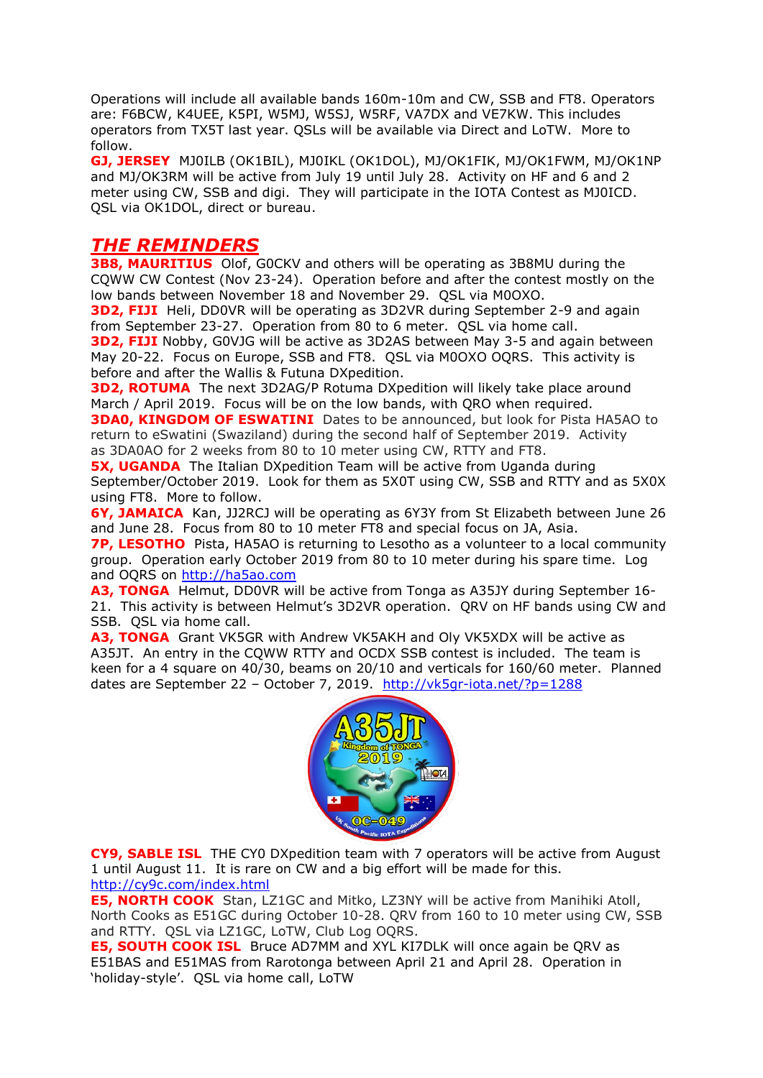Operations will include all available bands 160m-10m and CW, SSB and FT8. Operators are: F6BCW, K4UEE, K5PI, W5MJ, W5SJ, W5RF, VA7DX and VE7KW. This includes operators from TX5T last year. QSLs will be available via Direct and LoTW. More to follow.

**GJ, JERSEY** MJ0ILB (OK1BIL), MJ0IKL (OK1DOL), MJ/OK1FIK, MJ/OK1FWM, MJ/OK1NP and MJ/OK3RM will be active from July 19 until July 28. Activity on HF and 6 and 2 meter using CW, SSB and digi. They will participate in the IOTA Contest as MJ0ICD. QSL via OK1DOL, direct or bureau.

## *THE REMINDERS*

**3B8, MAURITIUS** Olof, G0CKV and others will be operating as 3B8MU during the CQWW CW Contest (Nov 23-24). Operation before and after the contest mostly on the low bands between November 18 and November 29. QSL via M0OXO.

**3D2, FIJI** Heli, DD0VR will be operating as 3D2VR during September 2-9 and again from September 23-27. Operation from 80 to 6 meter. QSL via home call.

**3D2, FIJI** Nobby, G0VJG will be active as 3D2AS between May 3-5 and again between May 20-22. Focus on Europe, SSB and FT8. QSL via M0OXO OQRS. This activity is before and after the Wallis & Futuna DXpedition.

**3D2, ROTUMA** The next 3D2AG/P Rotuma DXpedition will likely take place around March / April 2019. Focus will be on the low bands, with QRO when required. **3DA0, KINGDOM OF ESWATINI** Dates to be announced, but look for Pista HA5AO to

return to eSwatini (Swaziland) during the second half of September 2019. Activity as 3DA0AO for 2 weeks from 80 to 10 meter using CW, RTTY and FT8.

**5X, UGANDA** The Italian DXpedition Team will be active from Uganda during September/October 2019. Look for them as 5X0T using CW, SSB and RTTY and as 5X0X using FT8. More to follow.

**6Y, JAMAICA** Kan, JJ2RCJ will be operating as 6Y3Y from St Elizabeth between June 26 and June 28. Focus from 80 to 10 meter FT8 and special focus on JA, Asia.

**7P, LESOTHO** Pista, HA5AO is returning to Lesotho as a volunteer to a local community group. Operation early October 2019 from 80 to 10 meter during his spare time. Log and OQRS on [http://ha5ao.com](http://ha5ao.com/)

**A3, TONGA** Helmut, DD0VR will be active from Tonga as A35JY during September 16- 21. This activity is between Helmut's [3D2VR](https://dx-world.net/3d2vr-fiji/) operation. QRV on HF bands using CW and SSB. QSL via home call.

**A3, TONGA** Grant VK5GR with Andrew VK5AKH and Oly VK5XDX will be active as A35JT. An entry in the CQWW RTTY and OCDX SSB contest is included. The team is keen for a 4 square on 40/30, beams on 20/10 and verticals for 160/60 meter. Planned dates are September 22 – October 7, 2019. <http://vk5gr-iota.net/?p=1288>



**CY9, SABLE ISL** THE CY0 DXpedition team with 7 operators will be active from August 1 until August 11. It is rare on CW and a big effort will be made for this. <http://cy9c.com/index.html>

**E5, NORTH COOK** Stan, LZ1GC and Mitko, LZ3NY will be active from Manihiki Atoll, North Cooks as E51GC during October 10-28. QRV from 160 to 10 meter using CW, SSB and RTTY. QSL via LZ1GC, LoTW, Club Log OQRS.

**E5, SOUTH COOK ISL** Bruce AD7MM and XYL KI7DLK will once again be QRV as E51BAS and E51MAS from Rarotonga between April 21 and April 28. Operation in 'holiday-style'. QSL via home call, LoTW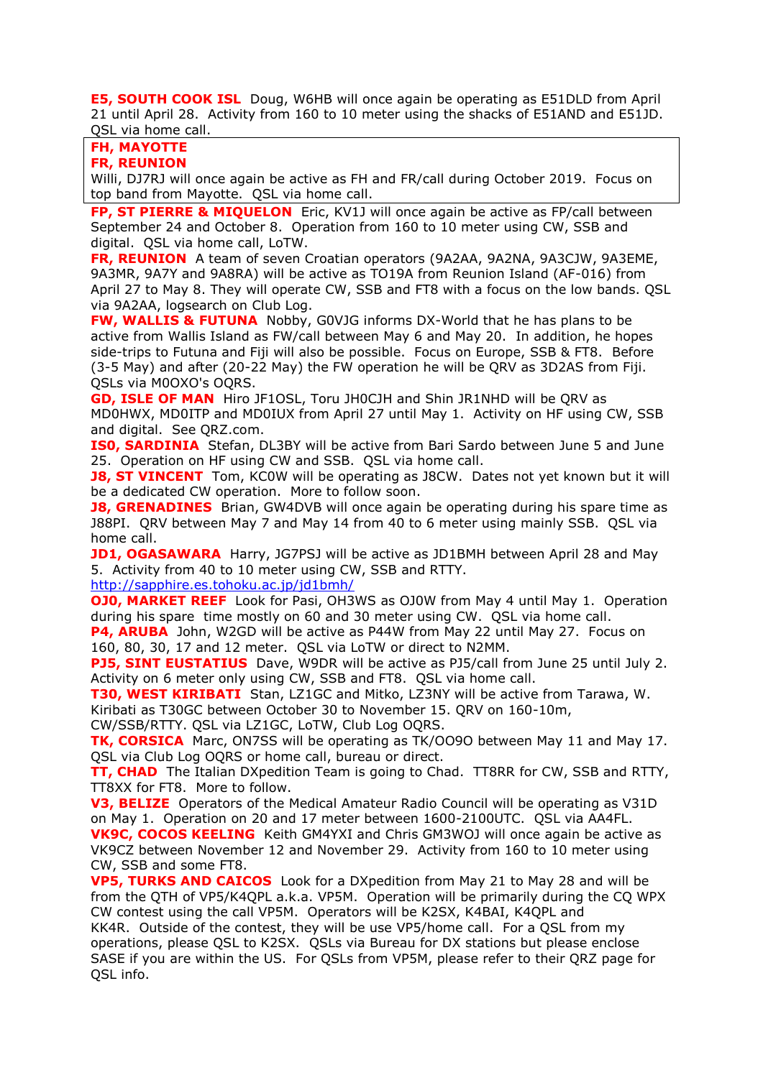**E5, SOUTH COOK ISL** Doug, W6HB will once again be operating as E51DLD from April 21 until April 28. Activity from 160 to 10 meter using the shacks of E51AND and E51JD. QSL via home call.

## **FH, MAYOTTE**

## **FR, REUNION**

Willi, DJ7RJ will once again be active as FH and FR/call during October 2019. Focus on top band from Mayotte. QSL via home call.

**FP, ST PIERRE & MIQUELON** Eric, KV1J will once again be active as FP/call between September 24 and October 8. Operation from 160 to 10 meter using CW, SSB and digital. QSL via home call, LoTW.

**FR, REUNION** A team of seven Croatian operators (9A2AA, 9A2NA, 9A3CJW, 9A3EME, 9A3MR, 9A7Y and 9A8RA) will be active as TO19A from Reunion Island (AF-016) from April 27 to May 8. They will operate CW, SSB and FT8 with a focus on the low bands. QSL via 9A2AA, logsearch on Club Log.

**FW, WALLIS & FUTUNA** Nobby, G0VJG informs DX-World that he has plans to be active from Wallis Island as FW/call between May 6 and May 20. In addition, he hopes side-trips to Futuna and Fiji will also be possible. Focus on Europe, SSB & FT8. Before (3-5 May) and after (20-22 May) the FW operation he will be QRV as 3D2AS from Fiji. QSLs via M0OXO's OQRS.

**GD, ISLE OF MAN** Hiro JF1OSL, Toru JH0CJH and Shin JR1NHD will be QRV as MD0HWX, MD0ITP and MD0IUX from April 27 until May 1. Activity on HF using CW, SSB and digital. See QRZ.com.

**ISO, SARDINIA** Stefan, DL3BY will be active from Bari Sardo between June 5 and June 25. Operation on HF using CW and SSB. QSL via home call.

**J8, ST VINCENT** Tom, KC0W will be operating as J8CW. Dates not yet known but it will be a dedicated CW operation. More to follow soon.

**J8, GRENADINES** Brian, GW4DVB will once again be operating during his spare time as J88PI. QRV between May 7 and May 14 from 40 to 6 meter using mainly SSB. QSL via home call.

**JD1, OGASAWARA** Harry, JG7PSJ will be active as JD1BMH between April 28 and May 5. Activity from 40 to 10 meter using CW, SSB and RTTY.

<http://sapphire.es.tohoku.ac.jp/jd1bmh/>

**OJ0, MARKET REEF** Look for Pasi, OH3WS as OJ0W from May 4 until May 1. Operation during his spare time mostly on 60 and 30 meter using CW. QSL via home call.

**P4, ARUBA** John, W2GD will be active as P44W from May 22 until May 27. Focus on 160, 80, 30, 17 and 12 meter. QSL via LoTW or direct to N2MM.

**PJ5, SINT EUSTATIUS** Dave, W9DR will be active as PJ5/call from June 25 until July 2. Activity on 6 meter only using CW, SSB and FT8. QSL via home call.

**T30, WEST KIRIBATI** Stan, LZ1GC and Mitko, LZ3NY will be active from Tarawa, W. Kiribati as T30GC between October 30 to November 15. QRV on 160-10m,

CW/SSB/RTTY. QSL via LZ1GC, LoTW, Club Log OQRS.

**TK, CORSICA** Marc, ON7SS will be operating as TK/OO9O between May 11 and May 17. QSL via Club Log OQRS or home call, bureau or direct.

**TT, CHAD** The Italian DXpedition Team is going to Chad. TT8RR for CW, SSB and RTTY, TT8XX for FT8. More to follow.

**V3, BELIZE** Operators of the Medical Amateur Radio Council will be operating as V31D on May 1. Operation on 20 and 17 meter between 1600-2100UTC. QSL via AA4FL. **VK9C, COCOS KEELING** Keith GM4YXI and Chris GM3WOJ will once again be active as VK9CZ between November 12 and November 29. Activity from 160 to 10 meter using CW, SSB and some FT8.

**VP5, TURKS AND CAICOS** Look for a DXpedition from May 21 to May 28 and will be from the QTH of VP5/K4QPL a.k.a. VP5M. Operation will be primarily during the CQ WPX CW contest using the call VP5M. Operators will be K2SX, K4BAI, K4QPL and KK4R. Outside of the contest, they will be use VP5/home call. For a QSL from my operations, please QSL to K2SX. QSLs via Bureau for DX stations but please enclose SASE if you are within the US. For QSLs from VP5M, please refer to their QRZ page for QSL info.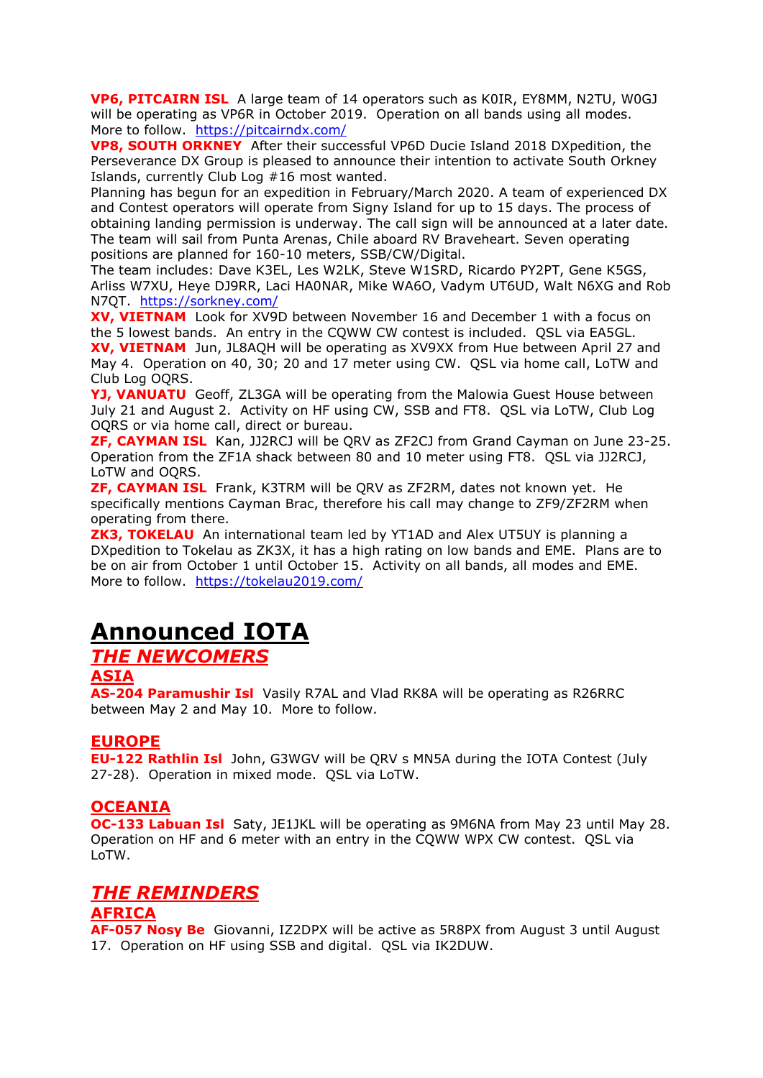**VP6, PITCAIRN ISL** A large team of 14 operators such as K0IR, EY8MM, N2TU, W0GJ will be operating as VP6R in October 2019. Operation on all bands using all modes. More to follow. <https://pitcairndx.com/>

**VP8, SOUTH ORKNEY** After their successful VP6D Ducie Island 2018 DXpedition, the Perseverance DX Group is pleased to announce their intention to activate South Orkney Islands, currently Club Log #16 most wanted.

Planning has begun for an expedition in February/March 2020. A team of experienced DX and Contest operators will operate from Signy Island for up to 15 days. The process of obtaining landing permission is underway. The call sign will be announced at a later date. The team will sail from Punta Arenas, Chile aboard RV Braveheart. Seven operating positions are planned for 160-10 meters, SSB/CW/Digital.

The team includes: Dave K3EL, Les W2LK, Steve W1SRD, Ricardo PY2PT, Gene K5GS, Arliss W7XU, Heye DJ9RR, Laci HA0NAR, Mike WA6O, Vadym UT6UD, Walt N6XG and Rob N7QT. <https://sorkney.com/>

**XV, VIETNAM** Look for XV9D between November 16 and December 1 with a focus on the 5 lowest bands. An entry in the CQWW CW contest is included. QSL via EA5GL. **XV, VIETNAM** Jun, JL8AQH will be operating as XV9XX from Hue between April 27 and May 4. Operation on 40, 30; 20 and 17 meter using CW. QSL via home call, LoTW and Club Log OQRS.

**YJ, VANUATU** Geoff, ZL3GA will be operating from the Malowia Guest House between July 21 and August 2. Activity on HF using CW, SSB and FT8. QSL via LoTW, Club Log OQRS or via home call, direct or bureau.

**ZF, CAYMAN ISL** Kan, JJ2RCJ will be QRV as ZF2CJ from Grand Cayman on June 23-25. Operation from the ZF1A shack between 80 and 10 meter using FT8. QSL via JJ2RCJ, LoTW and OQRS.

**ZF, CAYMAN ISL** Frank, K3TRM will be QRV as ZF2RM, dates not known yet. He specifically mentions Cayman Brac, therefore his call may change to ZF9/ZF2RM when operating from there.

**ZK3, TOKELAU** An international team led by YT1AD and Alex UT5UY is planning a DXpedition to Tokelau as ZK3X, it has a high rating on low bands and EME. Plans are to be on air from October 1 until October 15. Activity on all bands, all modes and EME. More to follow. <https://tokelau2019.com/>

# **Announced IOTA**

## *THE NEWCOMERS*

## **ASIA**

**AS-204 Paramushir Isl** Vasily R7AL and Vlad RK8A will be operating as R26RRC between May 2 and May 10. More to follow.

### **EUROPE**

**EU-122 Rathlin Isl** John, G3WGV will be QRV s MN5A during the IOTA Contest (July 27-28). Operation in mixed mode. QSL via LoTW.

### **OCEANIA**

**OC-133 Labuan Isl** Saty, JE1JKL will be operating as 9M6NA from May 23 until May 28. Operation on HF and 6 meter with an entry in the CQWW WPX CW contest. QSL via LoTW.

## *THE REMINDERS*

#### **AFRICA**

**AF-057 Nosy Be** Giovanni, IZ2DPX will be active as 5R8PX from August 3 until August 17. Operation on HF using SSB and digital. QSL via IK2DUW.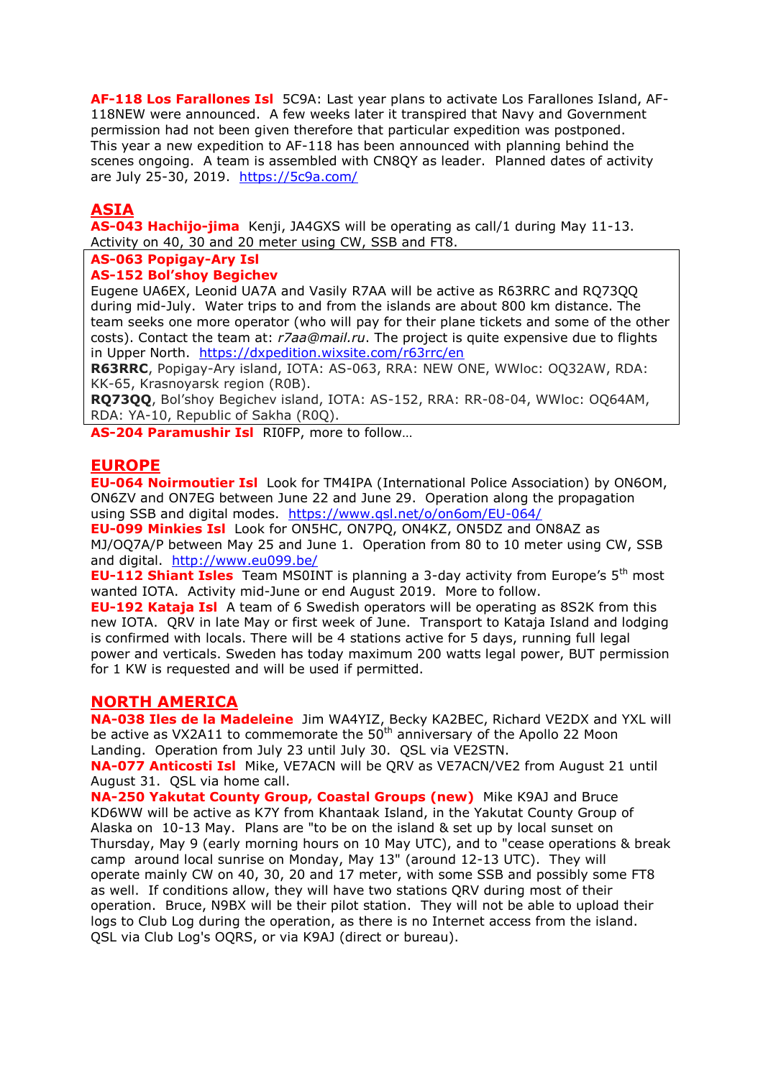**AF-118 Los Farallones Isl** 5C9A: Last year plans to activate Los Farallones Island, AF-118NEW were announced. A few weeks later it transpired that Navy and Government permission had not been given therefore that particular expedition was postponed. This year a new expedition to AF-118 has been announced with planning behind the scenes ongoing. A team is assembled with CN8QY as leader. Planned dates of activity are July 25-30, 2019. <https://5c9a.com/>

## **ASIA**

**AS-043 Hachijo-jima** Kenji, JA4GXS will be operating as call/1 during May 11-13. Activity on 40, 30 and 20 meter using CW, SSB and FT8.

### **AS-063 Popigay-Ary Isl**

#### **AS-152 Bol'shoy Begichev**

Eugene UA6EX, Leonid UA7A and Vasily R7AA will be active as R63RRC and RQ73QQ during mid-July. Water trips to and from the islands are about 800 km distance. The team seeks one more operator (who will pay for their plane tickets and some of the other costs). Contact the team at: *r7aa@mail.ru*. The project is quite expensive due to flights in Upper North. <https://dxpedition.wixsite.com/r63rrc/en>

**R63RRC**, Popigay-Ary island, IOTA: AS-063, RRA: NEW ONE, WWloc: OQ32AW, RDA: KK-65, Krasnoyarsk region (R0B).

**RQ73QQ**, Bol'shoy Begichev island, IOTA: AS-152, RRA: RR-08-04, WWloc: OQ64AM, RDA: YA-10, Republic of Sakha (R0Q).

**AS-204 Paramushir Isl** RI0FP, more to follow…

### **EUROPE**

**EU-064 Noirmoutier Isl** Look for TM4IPA (International Police Association) by ON6OM, ON6ZV and ON7EG between June 22 and June 29. Operation along the propagation using SSB and digital modes. <https://www.qsl.net/o/on6om/EU-064/>

**EU-099 Minkies Isl** Look for ON5HC, ON7PQ, ON4KZ, ON5DZ and ON8AZ as MJ/OQ7A/P between May 25 and June 1. Operation from 80 to 10 meter using CW, SSB and digital. <http://www.eu099.be/>

**EU-112 Shiant Isles** Team MS0INT is planning a 3-day activity from Europe's 5<sup>th</sup> most wanted IOTA. Activity mid-June or end August 2019. More to follow.

**EU-192 Kataja Isl** A team of 6 Swedish operators will be operating as 8S2K from this new IOTA. QRV in late May or first week of June. Transport to Kataja Island and lodging is confirmed with locals. There will be 4 stations active for 5 days, running full legal power and verticals. Sweden has today maximum 200 watts legal power, BUT permission for 1 KW is requested and will be used if permitted.

#### **NORTH AMERICA**

**NA-038 Iles de la Madeleine** Jim WA4YIZ, Becky KA2BEC, Richard VE2DX and YXL will be active as VX2A11 to commemorate the  $50<sup>th</sup>$  anniversary of the Apollo 22 Moon Landing. Operation from July 23 until July 30. QSL via VE2STN.

**NA-077 Anticosti Isl** Mike, VE7ACN will be QRV as VE7ACN/VE2 from August 21 until August 31. QSL via home call.

**NA-250 Yakutat County Group, Coastal Groups (new)** Mike K9AJ and Bruce KD6WW will be active as K7Y from Khantaak Island, in the Yakutat County Group of Alaska on 10-13 May. Plans are "to be on the island & set up by local sunset on Thursday, May 9 (early morning hours on 10 May UTC), and to "cease operations & break camp around local sunrise on Monday, May 13" (around 12-13 UTC). They will operate mainly CW on 40, 30, 20 and 17 meter, with some SSB and possibly some FT8 as well. If conditions allow, they will have two stations QRV during most of their operation. Bruce, N9BX will be their pilot station. They will not be able to upload their logs to Club Log during the operation, as there is no Internet access from the island. QSL via Club Log's OQRS, or via K9AJ (direct or bureau).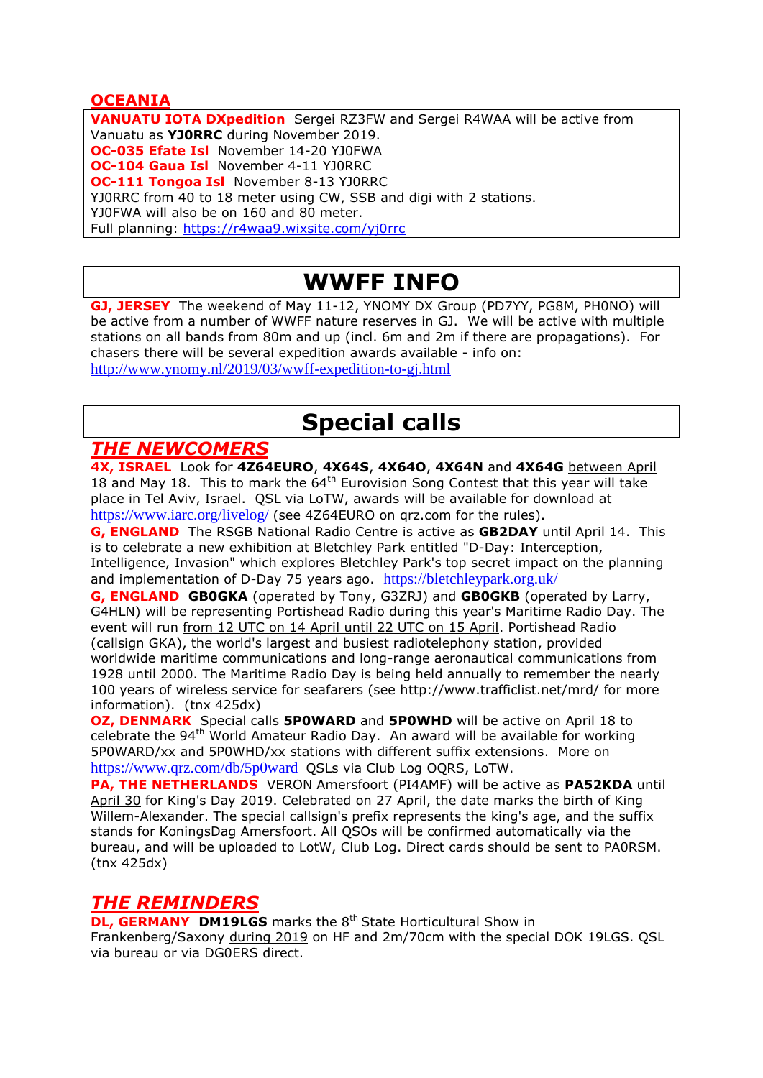## **OCEANIA**

**VANUATU IOTA DXpedition** Sergei RZ3FW and Sergei R4WAA will be active from Vanuatu as **YJ0RRC** during November 2019. **OC-035 Efate Isl** November 14-20 YJ0FWA **OC-104 Gaua Isl** November 4-11 YJ0RRC **OC-111 Tongoa Isl** November 8-13 YJ0RRC YJ0RRC from 40 to 18 meter using CW, SSB and digi with 2 stations. YJ0FWA will also be on 160 and 80 meter. Full planning:<https://r4waa9.wixsite.com/yj0rrc>

# **WWFF INFO**

**GJ, JERSEY** The weekend of May 11-12, YNOMY DX Group (PD7YY, PG8M, PH0NO) will be active from a number of WWFF nature reserves in GJ. We will be active with multiple stations on all bands from 80m and up (incl. 6m and 2m if there are propagations). For chasers there will be several expedition awards available - info on: <http://www.ynomy.nl/2019/03/wwff-expedition-to-gj.html>

# **Special calls**

## *THE NEWCOMERS*

**4X, ISRAEL** Look for **4Z64EURO**, **4X64S**, **4X64O**, **4X64N** and **4X64G** between April  $18$  and May 18. This to mark the  $64<sup>th</sup>$  Eurovision Song Contest that this year will take place in Tel Aviv, Israel. QSL via LoTW, awards will be available for download at https://www.jarc.org/livelog/ (see 4Z64EURO on grz.com for the rules).

**G, ENGLAND** The RSGB National Radio Centre is active as **GB2DAY** until April 14. This is to celebrate a new exhibition at Bletchley Park entitled "D-Day: Interception, Intelligence, Invasion" which explores Bletchley Park's top secret impact on the planning and implementation of D-Day 75 years ago. <https://bletchleypark.org.uk/>

**G, ENGLAND GB0GKA** (operated by Tony, G3ZRJ) and **GB0GKB** (operated by Larry, G4HLN) will be representing Portishead Radio during this year's Maritime Radio Day. The event will run from 12 UTC on 14 April until 22 UTC on 15 April. Portishead Radio (callsign GKA), the world's largest and busiest radiotelephony station, provided worldwide maritime communications and long-range aeronautical communications from 1928 until 2000. The Maritime Radio Day is being held annually to remember the nearly 100 years of wireless service for seafarers (see http://www.trafficlist.net/mrd/ for more information). (tnx 425dx)

**OZ, DENMARK** Special calls **5P0WARD** and **5P0WHD** will be active on April 18 to celebrate the 94<sup>th</sup> World Amateur Radio Day. An award will be available for working 5P0WARD/xx and 5P0WHD/xx stations with different suffix extensions. More on <https://www.qrz.com/db/5p0ward>QSLs via Club Log OQRS, LoTW.

**PA, THE NETHERLANDS** VERON Amersfoort (PI4AMF) will be active as **PA52KDA** until April 30 for King's Day 2019. Celebrated on 27 April, the date marks the birth of King Willem-Alexander. The special callsign's prefix represents the king's age, and the suffix stands for KoningsDag Amersfoort. All QSOs will be confirmed automatically via the bureau, and will be uploaded to LotW, Club Log. Direct cards should be sent to PA0RSM. (tnx 425dx)

## *THE REMINDERS*

**DL, GERMANY DM19LGS** marks the 8<sup>th</sup> State Horticultural Show in Frankenberg/Saxony during 2019 on HF and 2m/70cm with the special DOK 19LGS. QSL via bureau or via DG0ERS direct.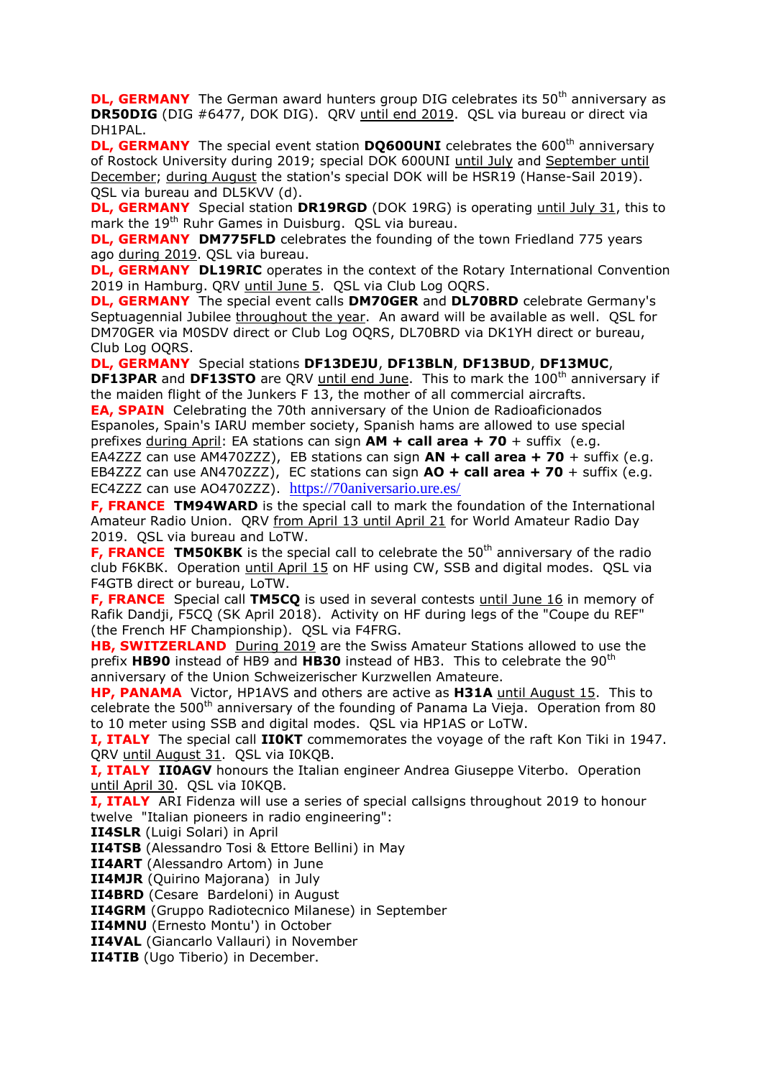**DL, GERMANY** The German award hunters group DIG celebrates its 50<sup>th</sup> anniversary as **DR50DIG** (DIG #6477, DOK DIG). QRV until end 2019. QSL via bureau or direct via DH1PAL.

**DL, GERMANY** The special event station **DQ600UNI** celebrates the 600<sup>th</sup> anniversary of Rostock University during 2019; special DOK 600UNI until July and September until December; during August the station's special DOK will be HSR19 (Hanse-Sail 2019). QSL via bureau and DL5KVV (d).

**DL, GERMANY** Special station **DR19RGD** (DOK 19RG) is operating until July 31, this to mark the 19<sup>th</sup> Ruhr Games in Duisburg. QSL via bureau.

**DL, GERMANY DM775FLD** celebrates the founding of the town Friedland 775 years ago during 2019. QSL via bureau.

**DL, GERMANY DL19RIC** operates in the context of the Rotary International Convention 2019 in Hamburg. QRV until June 5. QSL via Club Log OQRS.

**DL, GERMANY** The special event calls **DM70GER** and **DL70BRD** celebrate Germany's Septuagennial Jubilee throughout the year. An award will be available as well. QSL for DM70GER via M0SDV direct or Club Log OQRS, DL70BRD via DK1YH direct or bureau, Club Log OQRS.

**DL, GERMANY** Special stations **DF13DEJU**, **DF13BLN**, **DF13BUD**, **DF13MUC**, **DF13PAR** and DF13STO are QRV until end June. This to mark the 100<sup>th</sup> anniversary if the maiden flight of the Junkers F 13, the mother of all commercial aircrafts.

**EA, SPAIN** Celebrating the 70th anniversary of the Union de Radioaficionados Espanoles, Spain's IARU member society, Spanish hams are allowed to use special prefixes during April: EA stations can sign **AM + call area + 70** + suffix (e.g.

EA4ZZZ can use AM470ZZZ), EB stations can sign **AN + call area + 70** + suffix (e.g. EB4ZZZ can use AN470ZZZ), EC stations can sign **AO + call area + 70** + suffix (e.g. EC4ZZZ can use AO470ZZZ). <https://70aniversario.ure.es/>

**F, FRANCE TM94WARD** is the special call to mark the foundation of the International Amateur Radio Union. QRV from April 13 until April 21 for World Amateur Radio Day 2019. QSL via bureau and LoTW.

**F, FRANCE TM50KBK** is the special call to celebrate the 50<sup>th</sup> anniversary of the radio club F6KBK. Operation until April 15 on HF using CW, SSB and digital modes. QSL via F4GTB direct or bureau, LoTW.

**F, FRANCE** Special call **TM5CQ** is used in several contests until June 16 in memory of Rafik Dandji, F5CQ (SK April 2018). Activity on HF during legs of the "Coupe du REF" (the French HF Championship). QSL via F4FRG.

**HB, SWITZERLAND** During 2019 are the Swiss Amateur Stations allowed to use the prefix **HB90** instead of HB9 and **HB30** instead of HB3. This to celebrate the 90th anniversary of the Union Schweizerischer Kurzwellen Amateure.

**HP, PANAMA** Victor, HP1AVS and others are active as **H31A** until August 15. This to celebrate the 500<sup>th</sup> anniversary of the founding of Panama La Vieja. Operation from 80 to 10 meter using SSB and digital modes. QSL via HP1AS or LoTW.

**I, ITALY** The special call **II0KT** commemorates the voyage of the raft Kon Tiki in 1947. QRV until August 31. QSL via I0KQB.

**I, ITALY IIOAGV** honours the Italian engineer Andrea Giuseppe Viterbo. Operation until April 30. QSL via I0KQB.

**I, ITALY** ARI Fidenza will use a series of special callsigns throughout 2019 to honour twelve "Italian pioneers in radio engineering":

**II4SLR** (Luigi Solari) in April

**II4TSB** (Alessandro Tosi & Ettore Bellini) in May

**II4ART** (Alessandro Artom) in June

**II4MJR** (Quirino Majorana) in July

**II4BRD** (Cesare Bardeloni) in August

**II4GRM** (Gruppo Radiotecnico Milanese) in September

**II4MNU** (Ernesto Montu') in October

**II4VAL** (Giancarlo Vallauri) in November

**II4TIB** (Ugo Tiberio) in December.